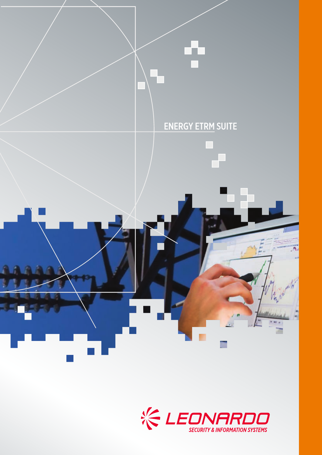

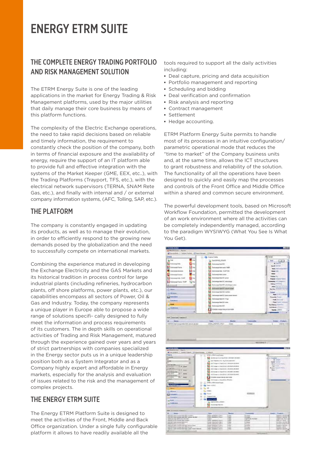# ENERGY ETRM SUITE

# THE COMPLETE ENERGY TRADING PORTFOLIO AND RISK MANAGEMENT SOLUTION

The ETRM Energy Suite is one of the leading applications in the market for Energy Trading & Risk Management platforms, used by the major utilities that daily manage their core business by means of this platform functions.

The complexity of the Electric Exchange operations, the need to take rapid decisions based on reliable and timely information, the requirement to constantly check the position of the company, both in terms of financial exposure and the availability of energy, require the support of an IT platform able to provide full and effective integration with the systems of the Market Keeper (GME, EEX, etc..), with the Trading Platforms (Trayport, TFS, etc.), with the electrical network supervisors (TERNA, SNAM Rete Gas, etc.), and finally with internal and / or external company information systems, (AFC, Tolling, SAP, etc.).

# THE PI ATFORM

The company is constantly engaged in updating its products, as well as to manage their evolution, in order to efficiently respond to the growing new demands posed by the globalization and the need to successfully compete on international markets.

Combining the experience matured in developing the Exchange Electricity and the GAS Markets and its historical tradition in process control for large industrial plants (including refineries, hydrocarbon plants, off shore platforms, power plants, etc.), our capabilities encompass all sectors of Power, Oil & Gas and Industry. Today, the company represents a unique player in Europe able to propose a wide range of solutions specifi- cally designed to fully meet the information and process requirements of its customers. The in depth skills on operational activities of Trading and Risk Management, matured through the experience gained over years and years of strict partnerships with companies specialized in the Energy sector puts us in a unique leadership position both as a System Integrator and as a Company highly expert and affordable in Energy markets, especially for the analysis and evaluation of issues related to the risk and the management of complex projects.

# THE ENERGY ETRM SUITE

The Energy ETRM Platform Suite is designed to meet the activities of the Front, Middle and Back Office organization. Under a single fully configurable platform it allows to have readily available all the

tools required to support all the daily activities including:

- **▪** Deal capture, pricing and data acquisition
- **▪** Portfolio management and reporting
- **▪** Scheduling and bidding
- **▪** Deal verification and confirmation
- **▪** Risk analysis and reporting
- **▪** Contract management
- **▪** Settlement
- **▪** Hedge accounting.

ETRM Platform Energy Suite permits to handle most of its processes in an intuitive configuration/ parametric operational mode that reduces the "time to market" of the Company business units and, at the same time, allows the ICT structures to grant robustness and reliability of the solution. The functionality of all the operations have been designed to quickly and easily map the processes and controls of the Front Office and Middle Office within a shared and common secure environment.

The powerful development tools, based on Microsoft Workflow Foundation, permitted the development of an work environment where all the activities can be completely independently managed, according to the paradigm WYSIWYG (What You See Is What You Get).

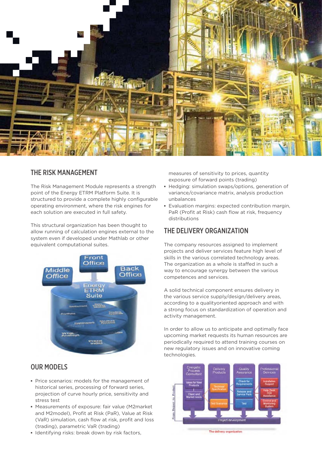

### THE RISK MANAGEMENT

The Risk Management Module represents a strength point of the Energy ETRM Platform Suite. It is structured to provide a complete highly configurable operating environment, where the risk engines for each solution are executed in full safety.

This structural organization has been thought to allow running of calculation engines external to the system even if developed under Mathlab or other equivalent computational suites.



# OUR MODELS

- **▪** Price scenarios: models for the management of historical series, processing of forward series, projection of curve hourly price, sensitivity and stress test
- **▪** Measurements of exposure: fair value (M2market and M2model), Profit at Risk (PaR), Value at Risk (VaR) simulation, cash flow at risk, profit and loss (trading), parametric VaR (trading)
- **▪** Identifying risks: break down by risk factors,

measures of sensitivity to prices, quantity exposure of forward points (trading)

- **▪** Hedging: simulation swaps/options, generation of variance/covariance matrix, analysis production unbalances
- **▪** Evaluation margins: expected contribution margin, PaR (Profit at Risk) cash flow at risk, frequency distributions

# THE DELIVERY ORGANIZATION

The company resources assigned to implement projects and deliver services feature high level of skills in the various correlated technology areas. The organization as a whole is staffed in such a way to encourage synergy between the various competences and services.

A solid technical component ensures delivery in the various service supply/design/delivery areas, according to a qualityoriented approach and with a strong focus on standardization of operation and activity management.

In order to allow us to anticipate and optimally face upcoming market requests its human resources are periodically required to attend training courses on new regulatory issues and on innovative coming technologies.



The delivery organization